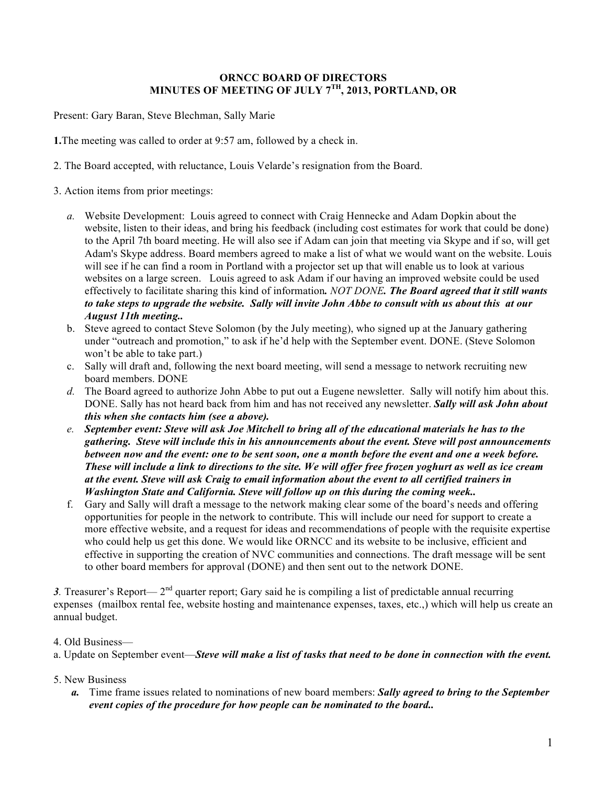## **ORNCC BOARD OF DIRECTORS MINUTES OF MEETING OF JULY 7TH, 2013, PORTLAND, OR**

Present: Gary Baran, Steve Blechman, Sally Marie

**1.**The meeting was called to order at 9:57 am, followed by a check in.

- 2. The Board accepted, with reluctance, Louis Velarde's resignation from the Board.
- 3. Action items from prior meetings:
	- *a.* Website Development: Louis agreed to connect with Craig Hennecke and Adam Dopkin about the website, listen to their ideas, and bring his feedback (including cost estimates for work that could be done) to the April 7th board meeting. He will also see if Adam can join that meeting via Skype and if so, will get Adam's Skype address. Board members agreed to make a list of what we would want on the website. Louis will see if he can find a room in Portland with a projector set up that will enable us to look at various websites on a large screen. Louis agreed to ask Adam if our having an improved website could be used effectively to facilitate sharing this kind of information*. NOT DONE. The Board agreed that it still wants to take steps to upgrade the website. Sally will invite John Abbe to consult with us about this at our August 11th meeting..*
	- b. Steve agreed to contact Steve Solomon (by the July meeting), who signed up at the January gathering under "outreach and promotion," to ask if he'd help with the September event. DONE. (Steve Solomon won't be able to take part.)
	- c. Sally will draft and, following the next board meeting, will send a message to network recruiting new board members. DONE
	- *d.* The Board agreed to authorize John Abbe to put out a Eugene newsletter. Sally will notify him about this. DONE. Sally has not heard back from him and has not received any newsletter. *Sally will ask John about this when she contacts him (see a above).*
	- *e. September event: Steve will ask Joe Mitchell to bring all of the educational materials he has to the gathering. Steve will include this in his announcements about the event. Steve will post announcements between now and the event: one to be sent soon, one a month before the event and one a week before. These will include a link to directions to the site. We will offer free frozen yoghurt as well as ice cream at the event. Steve will ask Craig to email information about the event to all certified trainers in Washington State and California. Steve will follow up on this during the coming week..*
	- f. Gary and Sally will draft a message to the network making clear some of the board's needs and offering opportunities for people in the network to contribute. This will include our need for support to create a more effective website, and a request for ideas and recommendations of people with the requisite expertise who could help us get this done. We would like ORNCC and its website to be inclusive, efficient and effective in supporting the creation of NVC communities and connections. The draft message will be sent to other board members for approval (DONE) and then sent out to the network DONE.

3. Treasurer's Report— 2<sup>nd</sup> quarter report; Gary said he is compiling a list of predictable annual recurring expenses (mailbox rental fee, website hosting and maintenance expenses, taxes, etc.,) which will help us create an annual budget.

4. Old Business—

- a. Update on September event—*Steve will make a list of tasks that need to be done in connection with the event.*
- 5. New Business
	- *a.* Time frame issues related to nominations of new board members: *Sally agreed to bring to the September event copies of the procedure for how people can be nominated to the board..*